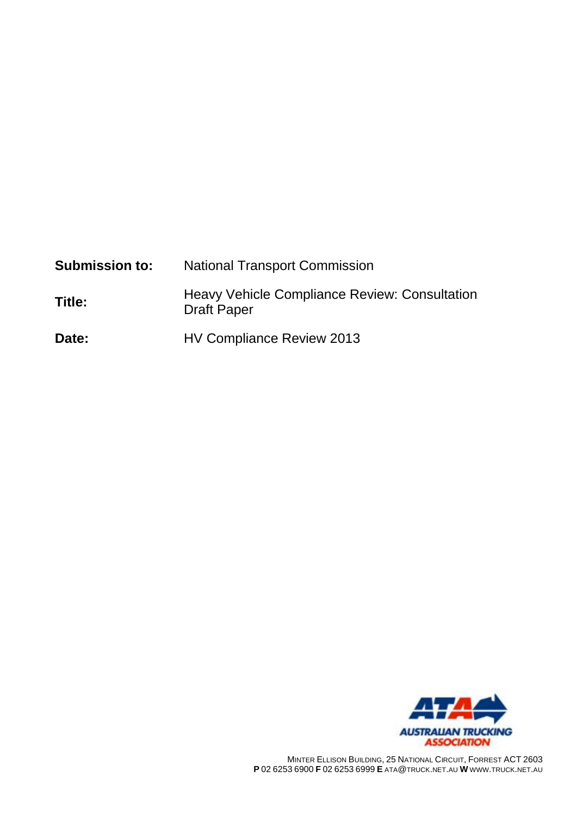| <b>Submission to:</b> | <b>National Transport Commission</b>                                |
|-----------------------|---------------------------------------------------------------------|
| Title:                | Heavy Vehicle Compliance Review: Consultation<br><b>Draft Paper</b> |
| Date:                 | HV Compliance Review 2013                                           |



MINTER ELLISON BUILDING, 25 NATIONAL CIRCUIT, FORREST ACT 2603 **P** 02 6253 6900 **F** 02 6253 6999 **E** ATA@TRUCK.NET.AU **W** WWW.TRUCK.NET.AU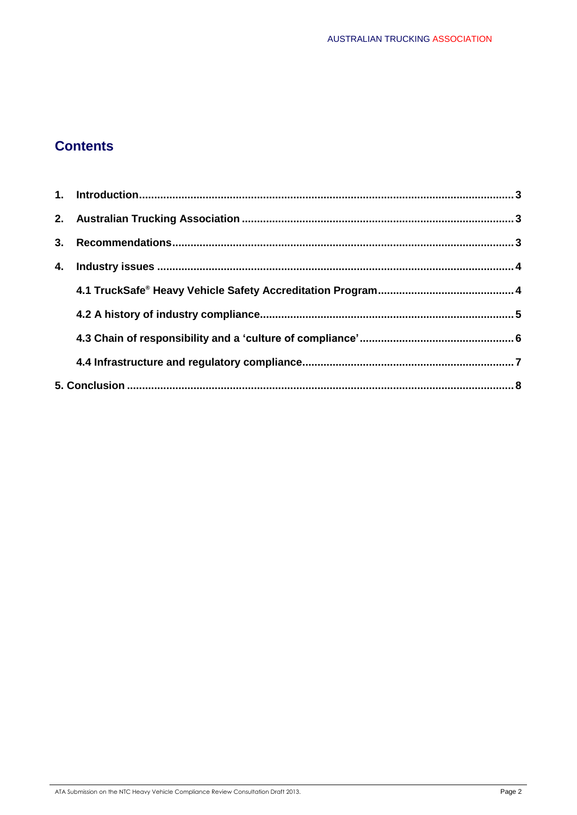# **Contents**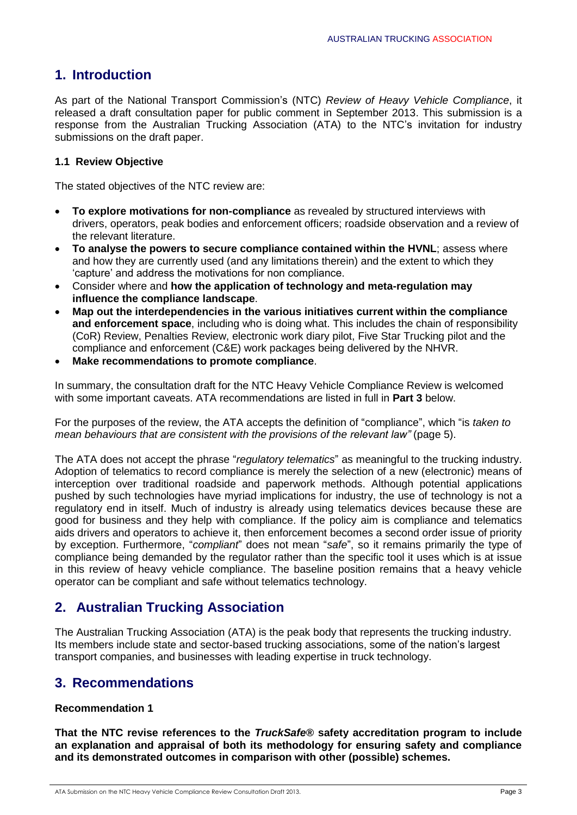## **1. Introduction**

As part of the National Transport Commission's (NTC) *Review of Heavy Vehicle Compliance*, it released a draft consultation paper for public comment in September 2013. This submission is a response from the Australian Trucking Association (ATA) to the NTC's invitation for industry submissions on the draft paper.

### **1.1 Review Objective**

The stated objectives of the NTC review are:

- **To explore motivations for non-compliance** as revealed by structured interviews with drivers, operators, peak bodies and enforcement officers; roadside observation and a review of the relevant literature.
- **To analyse the powers to secure compliance contained within the HVNL**; assess where and how they are currently used (and any limitations therein) and the extent to which they 'capture' and address the motivations for non compliance.
- Consider where and **how the application of technology and meta-regulation may influence the compliance landscape**.
- **Map out the interdependencies in the various initiatives current within the compliance and enforcement space**, including who is doing what. This includes the chain of responsibility (CoR) Review, Penalties Review, electronic work diary pilot, Five Star Trucking pilot and the compliance and enforcement (C&E) work packages being delivered by the NHVR.
- **Make recommendations to promote compliance**.

In summary, the consultation draft for the NTC Heavy Vehicle Compliance Review is welcomed with some important caveats. ATA recommendations are listed in full in **Part 3** below.

For the purposes of the review, the ATA accepts the definition of "compliance", which "is *taken to mean behaviours that are consistent with the provisions of the relevant law"* (page 5).

The ATA does not accept the phrase "*regulatory telematics*" as meaningful to the trucking industry. Adoption of telematics to record compliance is merely the selection of a new (electronic) means of interception over traditional roadside and paperwork methods. Although potential applications pushed by such technologies have myriad implications for industry, the use of technology is not a regulatory end in itself. Much of industry is already using telematics devices because these are good for business and they help with compliance. If the policy aim is compliance and telematics aids drivers and operators to achieve it, then enforcement becomes a second order issue of priority by exception. Furthermore, "*compliant*" does not mean "*safe*", so it remains primarily the type of compliance being demanded by the regulator rather than the specific tool it uses which is at issue in this review of heavy vehicle compliance. The baseline position remains that a heavy vehicle operator can be compliant and safe without telematics technology.

## **2. Australian Trucking Association**

The Australian Trucking Association (ATA) is the peak body that represents the trucking industry. Its members include state and sector-based trucking associations, some of the nation's largest transport companies, and businesses with leading expertise in truck technology.

## **3. Recommendations**

### **Recommendation 1**

**That the NTC revise references to the** *TruckSafe***® safety accreditation program to include an explanation and appraisal of both its methodology for ensuring safety and compliance and its demonstrated outcomes in comparison with other (possible) schemes.**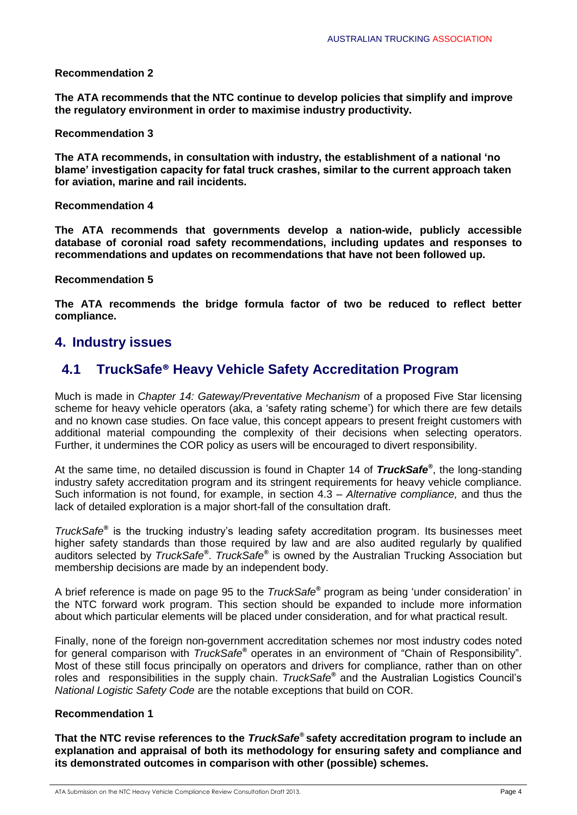### **Recommendation 2**

**The ATA recommends that the NTC continue to develop policies that simplify and improve the regulatory environment in order to maximise industry productivity.** 

#### **Recommendation 3**

**The ATA recommends, in consultation with industry, the establishment of a national 'no blame' investigation capacity for fatal truck crashes, similar to the current approach taken for aviation, marine and rail incidents.**

### **Recommendation 4**

**The ATA recommends that governments develop a nation-wide, publicly accessible database of coronial road safety recommendations, including updates and responses to recommendations and updates on recommendations that have not been followed up.** 

### **Recommendation 5**

**The ATA recommends the bridge formula factor of two be reduced to reflect better compliance.**

## **4. Industry issues**

## **4.1 TruckSafe® Heavy Vehicle Safety Accreditation Program**

Much is made in *Chapter 14: Gateway/Preventative Mechanism* of a proposed Five Star licensing scheme for heavy vehicle operators (aka, a 'safety rating scheme') for which there are few details and no known case studies. On face value, this concept appears to present freight customers with additional material compounding the complexity of their decisions when selecting operators. Further, it undermines the COR policy as users will be encouraged to divert responsibility.

At the same time, no detailed discussion is found in Chapter 14 of *TruckSafe®* , the long-standing industry safety accreditation program and its stringent requirements for heavy vehicle compliance. Such information is not found, for example, in section 4.3 – *Alternative compliance,* and thus the lack of detailed exploration is a major short-fall of the consultation draft.

*TruckSafe®* is the trucking industry's leading safety accreditation program. Its businesses meet higher safety standards than those required by law and are also audited regularly by qualified auditors selected by *TruckSafe®* . *TruckSafe®* is owned by the Australian Trucking Association but membership decisions are made by an independent body.

A brief reference is made on page 95 to the *TruckSafe®* program as being 'under consideration' in the NTC forward work program. This section should be expanded to include more information about which particular elements will be placed under consideration, and for what practical result.

Finally, none of the foreign non-government accreditation schemes nor most industry codes noted for general comparison with *TruckSafe®* operates in an environment of "Chain of Responsibility". Most of these still focus principally on operators and drivers for compliance, rather than on other roles and responsibilities in the supply chain. *TruckSafe®* and the Australian Logistics Council's *National Logistic Safety Code* are the notable exceptions that build on COR.

### **Recommendation 1**

**That the NTC revise references to the** *TruckSafe®* **safety accreditation program to include an explanation and appraisal of both its methodology for ensuring safety and compliance and its demonstrated outcomes in comparison with other (possible) schemes.**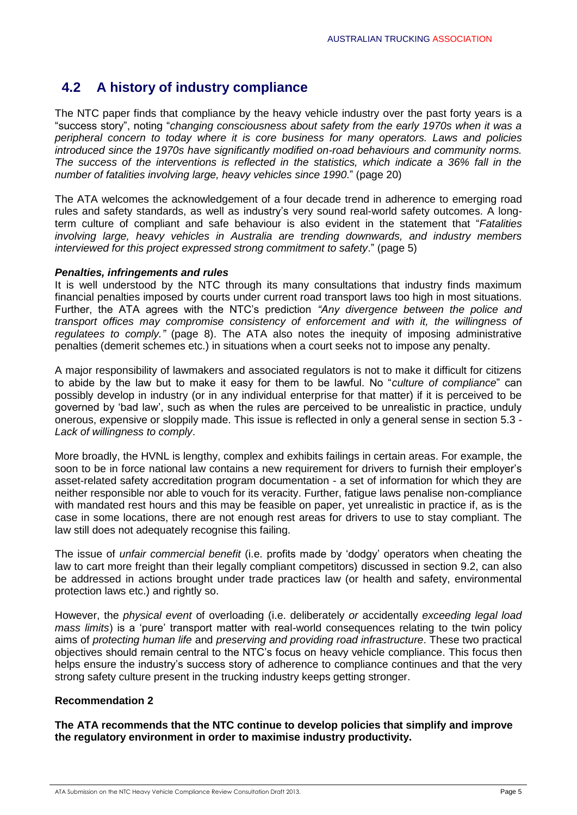## **4.2 A history of industry compliance**

The NTC paper finds that compliance by the heavy vehicle industry over the past forty years is a "success story", noting "*changing consciousness about safety from the early 1970s when it was a peripheral concern to today where it is core business for many operators. Laws and policies introduced since the 1970s have significantly modified on-road behaviours and community norms. The success of the interventions is reflected in the statistics, which indicate a 36% fall in the number of fatalities involving large, heavy vehicles since 1990*." (page 20)

The ATA welcomes the acknowledgement of a four decade trend in adherence to emerging road rules and safety standards, as well as industry's very sound real-world safety outcomes. A longterm culture of compliant and safe behaviour is also evident in the statement that "*Fatalities involving large, heavy vehicles in Australia are trending downwards, and industry members interviewed for this project expressed strong commitment to safety*." (page 5)

#### *Penalties, infringements and rules*

It is well understood by the NTC through its many consultations that industry finds maximum financial penalties imposed by courts under current road transport laws too high in most situations. Further, the ATA agrees with the NTC's prediction *"Any divergence between the police and transport offices may compromise consistency of enforcement and with it, the willingness of regulatees to comply."* (page 8). The ATA also notes the inequity of imposing administrative penalties (demerit schemes etc.) in situations when a court seeks not to impose any penalty.

A major responsibility of lawmakers and associated regulators is not to make it difficult for citizens to abide by the law but to make it easy for them to be lawful. No "*culture of compliance*" can possibly develop in industry (or in any individual enterprise for that matter) if it is perceived to be governed by 'bad law', such as when the rules are perceived to be unrealistic in practice, unduly onerous, expensive or sloppily made. This issue is reflected in only a general sense in section 5.3 *- Lack of willingness to comply*.

More broadly, the HVNL is lengthy, complex and exhibits failings in certain areas. For example, the soon to be in force national law contains a new requirement for drivers to furnish their employer's asset-related safety accreditation program documentation - a set of information for which they are neither responsible nor able to vouch for its veracity. Further, fatigue laws penalise non-compliance with mandated rest hours and this may be feasible on paper, yet unrealistic in practice if, as is the case in some locations, there are not enough rest areas for drivers to use to stay compliant. The law still does not adequately recognise this failing.

The issue of *unfair commercial benefit* (i.e. profits made by 'dodgy' operators when cheating the law to cart more freight than their legally compliant competitors) discussed in section 9.2, can also be addressed in actions brought under trade practices law (or health and safety, environmental protection laws etc.) and rightly so.

However, the *physical event* of overloading (i.e. deliberately *or* accidentally *exceeding legal load mass limits*) is a 'pure' transport matter with real-world consequences relating to the twin policy aims of *protecting human life* and *preserving and providing road infrastructure*. These two practical objectives should remain central to the NTC's focus on heavy vehicle compliance. This focus then helps ensure the industry's success story of adherence to compliance continues and that the very strong safety culture present in the trucking industry keeps getting stronger.

### **Recommendation 2**

**The ATA recommends that the NTC continue to develop policies that simplify and improve the regulatory environment in order to maximise industry productivity.**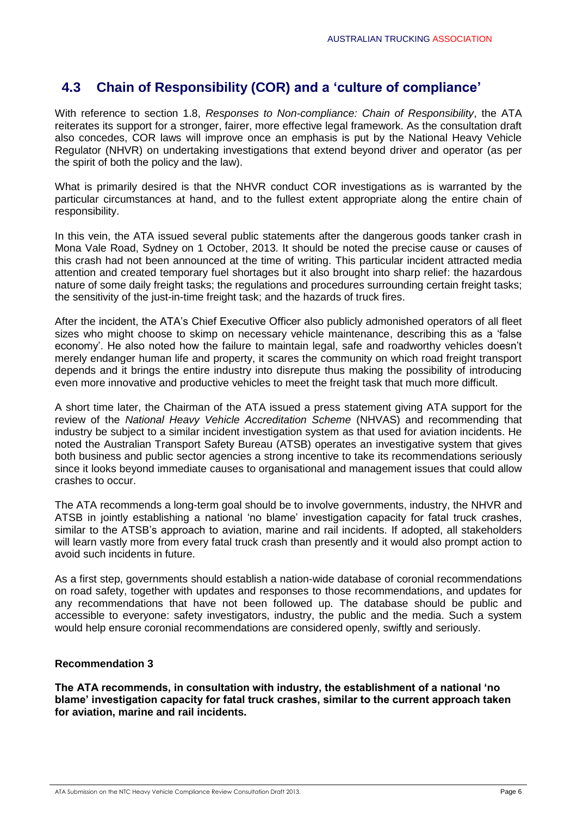## **4.3 Chain of Responsibility (COR) and a 'culture of compliance'**

With reference to section 1.8, *Responses to Non-compliance: Chain of Responsibility*, the ATA reiterates its support for a stronger, fairer, more effective legal framework. As the consultation draft also concedes, COR laws will improve once an emphasis is put by the National Heavy Vehicle Regulator (NHVR) on undertaking investigations that extend beyond driver and operator (as per the spirit of both the policy and the law).

What is primarily desired is that the NHVR conduct COR investigations as is warranted by the particular circumstances at hand, and to the fullest extent appropriate along the entire chain of responsibility.

In this vein, the ATA issued several public statements after the dangerous goods tanker crash in Mona Vale Road, Sydney on 1 October, 2013. It should be noted the precise cause or causes of this crash had not been announced at the time of writing. This particular incident attracted media attention and created temporary fuel shortages but it also brought into sharp relief: the hazardous nature of some daily freight tasks; the regulations and procedures surrounding certain freight tasks; the sensitivity of the just-in-time freight task; and the hazards of truck fires.

After the incident, the ATA's Chief Executive Officer also publicly admonished operators of all fleet sizes who might choose to skimp on necessary vehicle maintenance, describing this as a 'false economy'. He also noted how the failure to maintain legal, safe and roadworthy vehicles doesn't merely endanger human life and property, it scares the community on which road freight transport depends and it brings the entire industry into disrepute thus making the possibility of introducing even more innovative and productive vehicles to meet the freight task that much more difficult.

A short time later, the Chairman of the ATA issued a press statement giving ATA support for the review of the *National Heavy Vehicle Accreditation Scheme* (NHVAS) and recommending that industry be subject to a similar incident investigation system as that used for aviation incidents. He noted the Australian Transport Safety Bureau (ATSB) operates an investigative system that gives both business and public sector agencies a strong incentive to take its recommendations seriously since it looks beyond immediate causes to organisational and management issues that could allow crashes to occur.

The ATA recommends a long-term goal should be to involve governments, industry, the NHVR and ATSB in jointly establishing a national 'no blame' investigation capacity for fatal truck crashes, similar to the ATSB's approach to aviation, marine and rail incidents. If adopted, all stakeholders will learn vastly more from every fatal truck crash than presently and it would also prompt action to avoid such incidents in future.

As a first step, governments should establish a nation-wide database of coronial recommendations on road safety, together with updates and responses to those recommendations, and updates for any recommendations that have not been followed up. The database should be public and accessible to everyone: safety investigators, industry, the public and the media. Such a system would help ensure coronial recommendations are considered openly, swiftly and seriously.

### **Recommendation 3**

**The ATA recommends, in consultation with industry, the establishment of a national 'no blame' investigation capacity for fatal truck crashes, similar to the current approach taken for aviation, marine and rail incidents.**